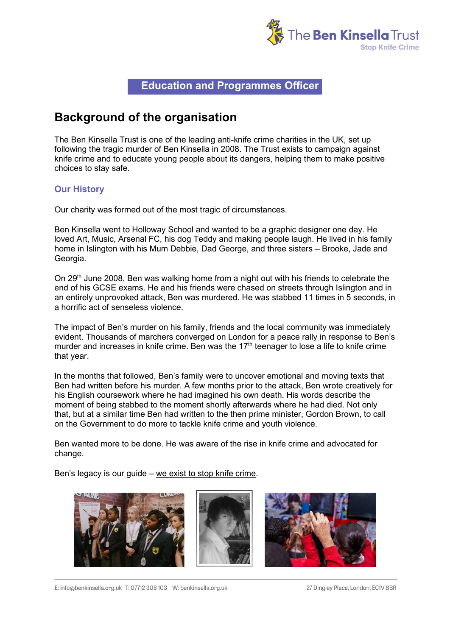

### **Education and Programmes Officer**

### **Background of the organisation**

The Ben Kinsella Trust is one of the leading anti-knife crime charities in the UK, set up following the tragic murder of Ben Kinsella in 2008. The Trust exists to campaign against knife crime and to educate young people about its dangers, helping them to make positive choices to stay safe.

#### **Our History**

Our charity was formed out of the most tragic of circumstances.

Ben Kinsella went to Holloway School and wanted to be a graphic designer one day. He loved Art, Music, Arsenal FC, his dog Teddy and making people laugh. He lived in his family home in Islington with his Mum Debbie, Dad George, and three sisters – Brooke, Jade and Georgia.

On 29<sup>th</sup> June 2008, Ben was walking home from a night out with his friends to celebrate the end of his GCSE exams. He and his friends were chased on streets through Islington and in an entirely unprovoked attack, Ben was murdered. He was stabbed 11 times in 5 seconds, in a horrific act of senseless violence.

The impact of Ben's murder on his family, friends and the local community was immediately evident. Thousands of marchers converged on London for a peace rally in response to Ben's murder and increases in knife crime. Ben was the 17<sup>th</sup> teenager to lose a life to knife crime that year.

In the months that followed, Ben's family were to uncover emotional and moving texts that Ben had written before his murder. A few months prior to the attack, Ben wrote creatively for his English coursework where he had imagined his own death. His words describe the moment of being stabbed to the moment shortly afterwards where he had died. Not only that, but at a similar time Ben had written to the then prime minister, Gordon Brown, to call on the Government to do more to tackle knife crime and youth violence.

Ben wanted more to be done. He was aware of the rise in knife crime and advocated for change.

Ben's legacy is our guide – we exist to stop knife crime.



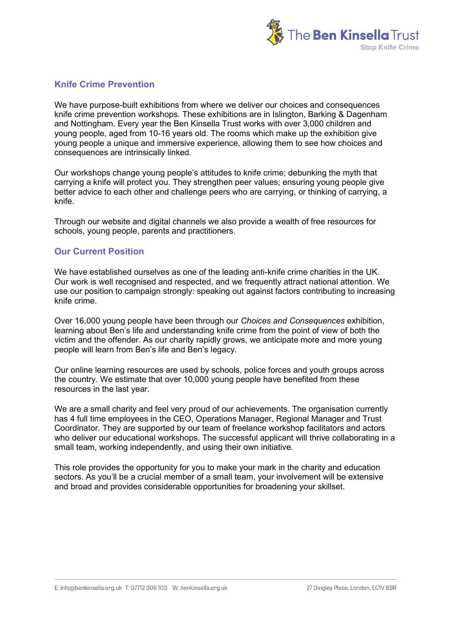

#### **Knife Crime Prevention**

We have purpose-built exhibitions from where we deliver our choices and consequences knife crime prevention workshops. These exhibitions are in Islington, Barking & Dagenham and Nottingham. Every year the Ben Kinsella Trust works with over 3,000 children and young people, aged from 10-16 years old. The rooms which make up the exhibition give young people a unique and immersive experience, allowing them to see how choices and consequences are intrinsically linked.

Our workshops change young people's attitudes to knife crime; debunking the myth that carrying a knife will protect you. They strengthen peer values; ensuring young people give better advice to each other and challenge peers who are carrying, or thinking of carrying, a knife.

Through our website and digital channels we also provide a wealth of free resources for schools, young people, parents and practitioners.

#### **Our Current Position**

We have established ourselves as one of the leading anti-knife crime charities in the UK. Our work is well recognised and respected, and we frequently attract national attention. We use our position to campaign strongly: speaking out against factors contributing to increasing knife crime.

Over 16,000 young people have been through our *Choices and Consequences* exhibition, learning about Ben's life and understanding knife crime from the point of view of both the victim and the offender. As our charity rapidly grows, we anticipate more and more young people will learn from Ben's life and Ben's legacy.

Our online learning resources are used by schools, police forces and youth groups across the country. We estimate that over 10,000 young people have benefited from these resources in the last year.

We are a small charity and feel very proud of our achievements. The organisation currently has 4 full time employees in the CEO, Operations Manager, Regional Manager and Trust Coordinator. They are supported by our team of freelance workshop facilitators and actors who deliver our educational workshops. The successful applicant will thrive collaborating in a small team, working independently, and using their own initiative.

This role provides the opportunity for you to make your mark in the charity and education sectors. As you'll be a crucial member of a small team, your involvement will be extensive and broad and provides considerable opportunities for broadening your skillset.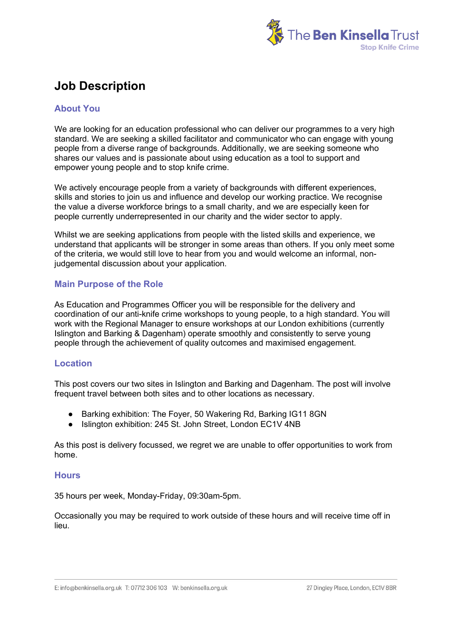

# **Job Description**

#### **About You**

We are looking for an education professional who can deliver our programmes to a very high standard. We are seeking a skilled facilitator and communicator who can engage with young people from a diverse range of backgrounds. Additionally, we are seeking someone who shares our values and is passionate about using education as a tool to support and empower young people and to stop knife crime.

We actively encourage people from a variety of backgrounds with different experiences, skills and stories to join us and influence and develop our working practice. We recognise the value a diverse workforce brings to a small charity, and we are especially keen for people currently underrepresented in our charity and the wider sector to apply.

Whilst we are seeking applications from people with the listed skills and experience, we understand that applicants will be stronger in some areas than others. If you only meet some of the criteria, we would still love to hear from you and would welcome an informal, nonjudgemental discussion about your application.

#### **Main Purpose of the Role**

As Education and Programmes Officer you will be responsible for the delivery and coordination of our anti-knife crime workshops to young people, to a high standard. You will work with the Regional Manager to ensure workshops at our London exhibitions (currently Islington and Barking & Dagenham) operate smoothly and consistently to serve young people through the achievement of quality outcomes and maximised engagement.

#### **Location**

This post covers our two sites in Islington and Barking and Dagenham. The post will involve frequent travel between both sites and to other locations as necessary.

- Barking exhibition: The Foyer, 50 Wakering Rd, Barking IG11 8GN
- Islington exhibition: 245 St. John Street, London EC1V 4NB

As this post is delivery focussed, we regret we are unable to offer opportunities to work from home.

#### **Hours**

35 hours per week, Monday-Friday, 09:30am-5pm.

Occasionally you may be required to work outside of these hours and will receive time off in lieu.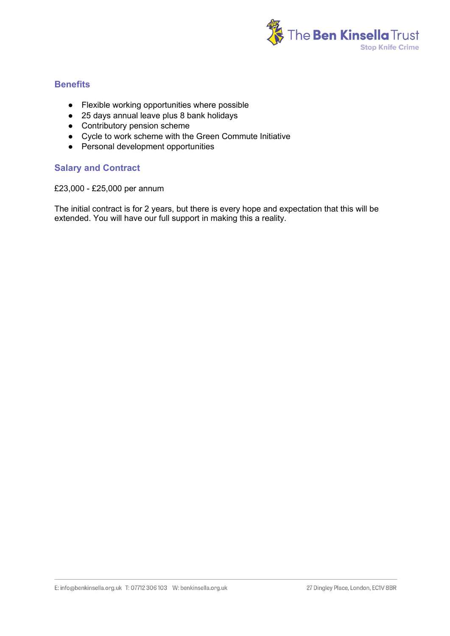

#### **Benefits**

- Flexible working opportunities where possible
- 25 days annual leave plus 8 bank holidays
- Contributory pension scheme
- Cycle to work scheme with the Green Commute Initiative
- Personal development opportunities

#### **Salary and Contract**

£23,000 - £25,000 per annum

The initial contract is for 2 years, but there is every hope and expectation that this will be extended. You will have our full support in making this a reality.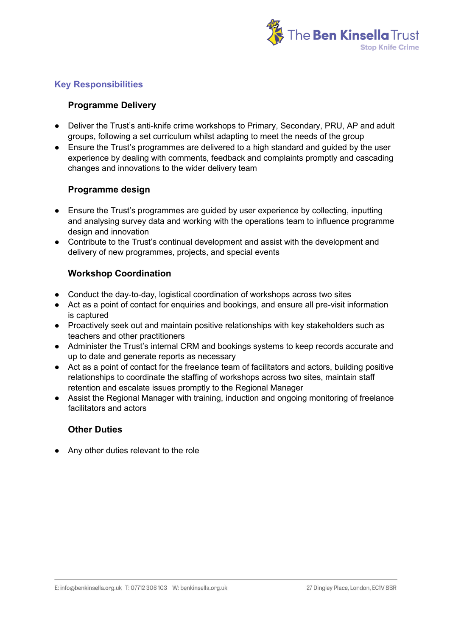

#### **Key Responsibilities**

#### **Programme Delivery**

- Deliver the Trust's anti-knife crime workshops to Primary, Secondary, PRU, AP and adult groups, following a set curriculum whilst adapting to meet the needs of the group
- Ensure the Trust's programmes are delivered to a high standard and guided by the user experience by dealing with comments, feedback and complaints promptly and cascading changes and innovations to the wider delivery team

#### **Programme design**

- Ensure the Trust's programmes are guided by user experience by collecting, inputting and analysing survey data and working with the operations team to influence programme design and innovation
- Contribute to the Trust's continual development and assist with the development and delivery of new programmes, projects, and special events

#### **Workshop Coordination**

- Conduct the day-to-day, logistical coordination of workshops across two sites
- Act as a point of contact for enquiries and bookings, and ensure all pre-visit information is captured
- Proactively seek out and maintain positive relationships with key stakeholders such as teachers and other practitioners
- Administer the Trust's internal CRM and bookings systems to keep records accurate and up to date and generate reports as necessary
- Act as a point of contact for the freelance team of facilitators and actors, building positive relationships to coordinate the staffing of workshops across two sites, maintain staff retention and escalate issues promptly to the Regional Manager
- Assist the Regional Manager with training, induction and ongoing monitoring of freelance facilitators and actors

#### **Other Duties**

● Any other duties relevant to the role